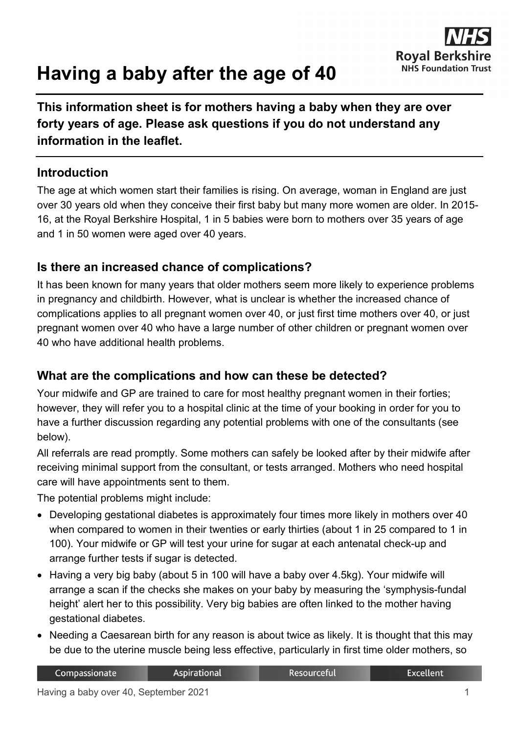

# **Having a baby after the age of 40**

**This information sheet is for mothers having a baby when they are over forty years of age. Please ask questions if you do not understand any information in the leaflet.**

## **Introduction**

The age at which women start their families is rising. On average, woman in England are just over 30 years old when they conceive their first baby but many more women are older. In 2015- 16, at the Royal Berkshire Hospital, 1 in 5 babies were born to mothers over 35 years of age and 1 in 50 women were aged over 40 years.

### **Is there an increased chance of complications?**

It has been known for many years that older mothers seem more likely to experience problems in pregnancy and childbirth. However, what is unclear is whether the increased chance of complications applies to all pregnant women over 40, or just first time mothers over 40, or just pregnant women over 40 who have a large number of other children or pregnant women over 40 who have additional health problems.

#### **What are the complications and how can these be detected?**

Your midwife and GP are trained to care for most healthy pregnant women in their forties; however, they will refer you to a hospital clinic at the time of your booking in order for you to have a further discussion regarding any potential problems with one of the consultants (see below).

All referrals are read promptly. Some mothers can safely be looked after by their midwife after receiving minimal support from the consultant, or tests arranged. Mothers who need hospital care will have appointments sent to them.

The potential problems might include:

- Developing gestational diabetes is approximately four times more likely in mothers over 40 when compared to women in their twenties or early thirties (about 1 in 25 compared to 1 in 100). Your midwife or GP will test your urine for sugar at each antenatal check-up and arrange further tests if sugar is detected.
- Having a very big baby (about 5 in 100 will have a baby over 4.5kg). Your midwife will arrange a scan if the checks she makes on your baby by measuring the 'symphysis-fundal height' alert her to this possibility. Very big babies are often linked to the mother having gestational diabetes.
- Needing a Caesarean birth for any reason is about twice as likely. It is thought that this may be due to the uterine muscle being less effective, particularly in first time older mothers, so

Resourceful

Aspirational

Compassionate

**Excellent**